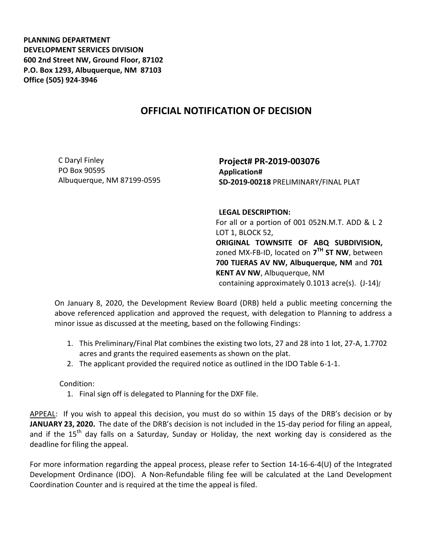**PLANNING DEPARTMENT DEVELOPMENT SERVICES DIVISION 600 2nd Street NW, Ground Floor, 87102 P.O. Box 1293, Albuquerque, NM 87103 Office (505) 924-3946** 

## **OFFICIAL NOTIFICATION OF DECISION**

C Daryl Finley PO Box 90595 Albuquerque, NM 87199-0595

**Project# PR-2019-003076 Application# SD-2019-00218** PRELIMINARY/FINAL PLAT

**LEGAL DESCRIPTION:**

For all or a portion of 001 052N.M.T. ADD & L 2 LOT 1, BLOCK 52, **ORIGINAL TOWNSITE OF ABQ SUBDIVISION,**  zoned MX-FB-ID, located on **7 TH ST NW**, between **700 TIJERAS AV NW, Albuquerque, NM** and **701 KENT AV NW**, Albuquerque, NM

containing approximately 0.1013 acre(s). (J-14)*[*

On January 8, 2020, the Development Review Board (DRB) held a public meeting concerning the above referenced application and approved the request, with delegation to Planning to address a minor issue as discussed at the meeting, based on the following Findings:

- 1. This Preliminary/Final Plat combines the existing two lots, 27 and 28 into 1 lot, 27-A, 1.7702 acres and grants the required easements as shown on the plat.
- 2. The applicant provided the required notice as outlined in the IDO Table 6-1-1.

Condition:

1. Final sign off is delegated to Planning for the DXF file.

APPEAL: If you wish to appeal this decision, you must do so within 15 days of the DRB's decision or by **JANUARY 23, 2020.** The date of the DRB's decision is not included in the 15-day period for filing an appeal, and if the 15<sup>th</sup> day falls on a Saturday, Sunday or Holiday, the next working day is considered as the deadline for filing the appeal.

For more information regarding the appeal process, please refer to Section 14-16-6-4(U) of the Integrated Development Ordinance (IDO). A Non-Refundable filing fee will be calculated at the Land Development Coordination Counter and is required at the time the appeal is filed.